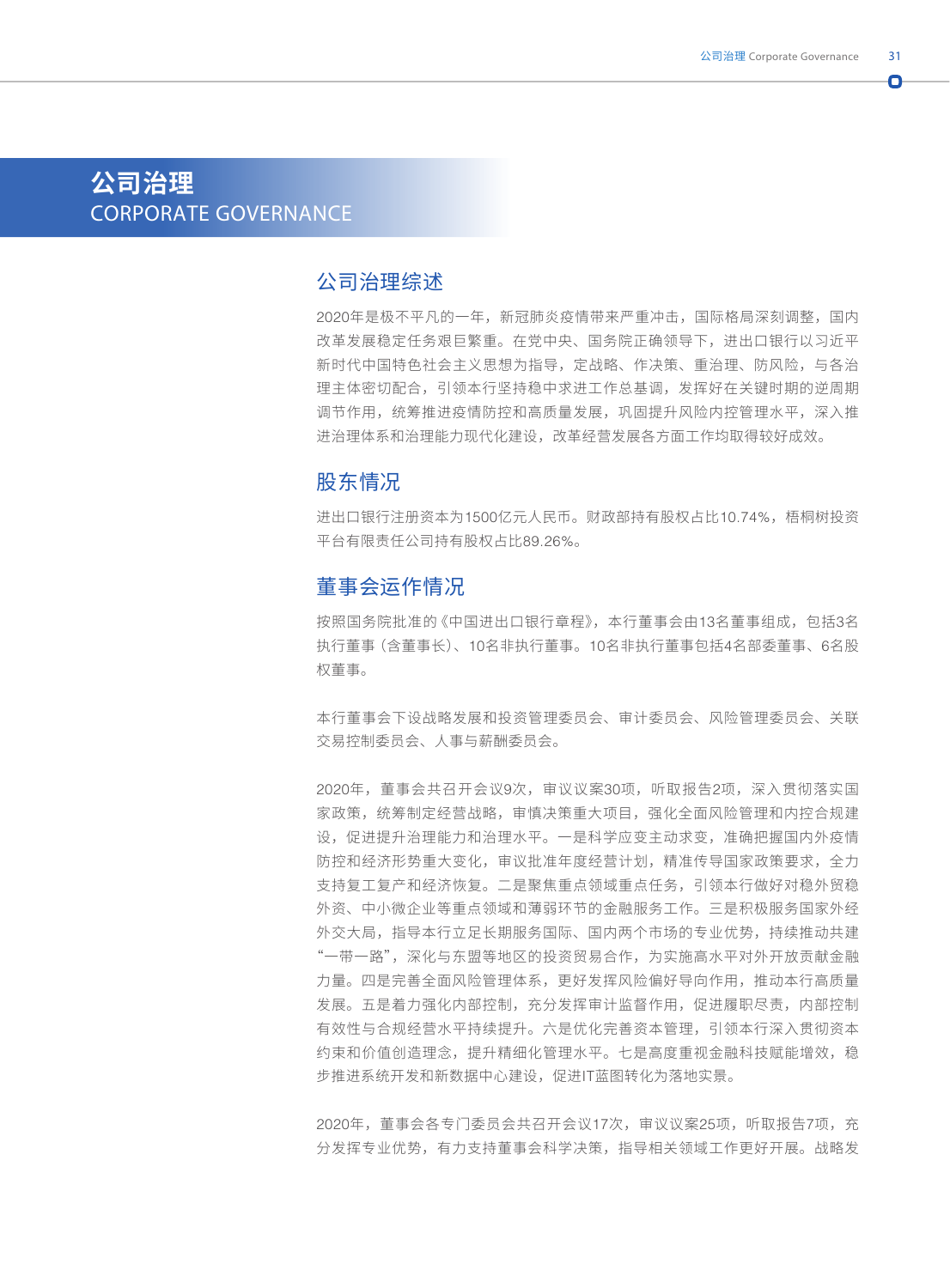n

# **公司治理** CORPORATE GOVERNANCE

# 公司治理综述

2020年是极不平凡的一年,新冠肺炎疫情带来严重冲击,国际格局深刻调整,国内 改革发展稳定任务艰巨繁重。在党中央、国务院正确领导下,进出口银行以习近平 新时代中国特色社会主义思想为指导,定战略、作决策、重治理、防风险,与各治 理主体密切配合,引领本行坚持稳中求进工作总基调,发挥好在关键时期的逆周期 调节作用,统筹推进疫情防控和高质量发展,巩固提升风险内控管理水平,深入推 进治理体系和治理能力现代化建设,改革经营发展各方面工作均取得较好成效。

#### 股东情况

进出口银行注册资本为1500亿元人民币。财政部持有股权占比10.74%,梧桐树投资 平台有限责任公司持有股权占比89.26%。

# 董事会运作情况

按照国务院批准的《中国进出口银行章程》,本行董事会由13名董事组成,包括3名 执行董事(含董事长)、10名非执行董事。10名非执行董事包括4名部委董事、6名股 权董事。

本行董事会下设战略发展和投资管理委员会、审计委员会、风险管理委员会、关联 交易控制委员会、人事与薪酬委员会。

2020年,董事会共召开会议9次,审议议案30项,听取报告2项,深入贯彻落实国 家政策,统筹制定经营战略,审慎决策重大项目,强化全面风险管理和内控合规建 设,促进提升治理能力和治理水平。一是科学应变主动求变,准确把握国内外疫情 防控和经济形势重大变化,审议批准年度经营计划,精准传导国家政策要求,全力 支持复工复产和经济恢复。二是聚焦重点领域重点任务,引领本行做好对稳外贸稳 外资、中小微企业等重点领域和薄弱环节的金融服务工作。三是积极服务国家外经 外交大局,指导本行立足长期服务国际、国内两个市场的专业优势,持续推动共建 "一带一路",深化与东盟等地区的投资贸易合作,为实施高水平对外开放贡献金融 力量。四是完善全面风险管理体系,更好发挥风险偏好导向作用,推动本行高质量 发展。五是着力强化内部控制,充分发挥审计监督作用,促进履职尽责,内部控制 有效性与合规经营水平持续提升。六是优化完善资本管理,引领本行深入贯彻资本 约束和价值创造理念,提升精细化管理水平。七是高度重视金融科技赋能增效,稳 步推进系统开发和新数据中心建设,促进IT蓝图转化为落地实景。

2020年,董事会各专门委员会共召开会议17次,审议议案25项,听取报告7项,充 分发挥专业优势,有力支持董事会科学决策,指导相关领域工作更好开展。战略发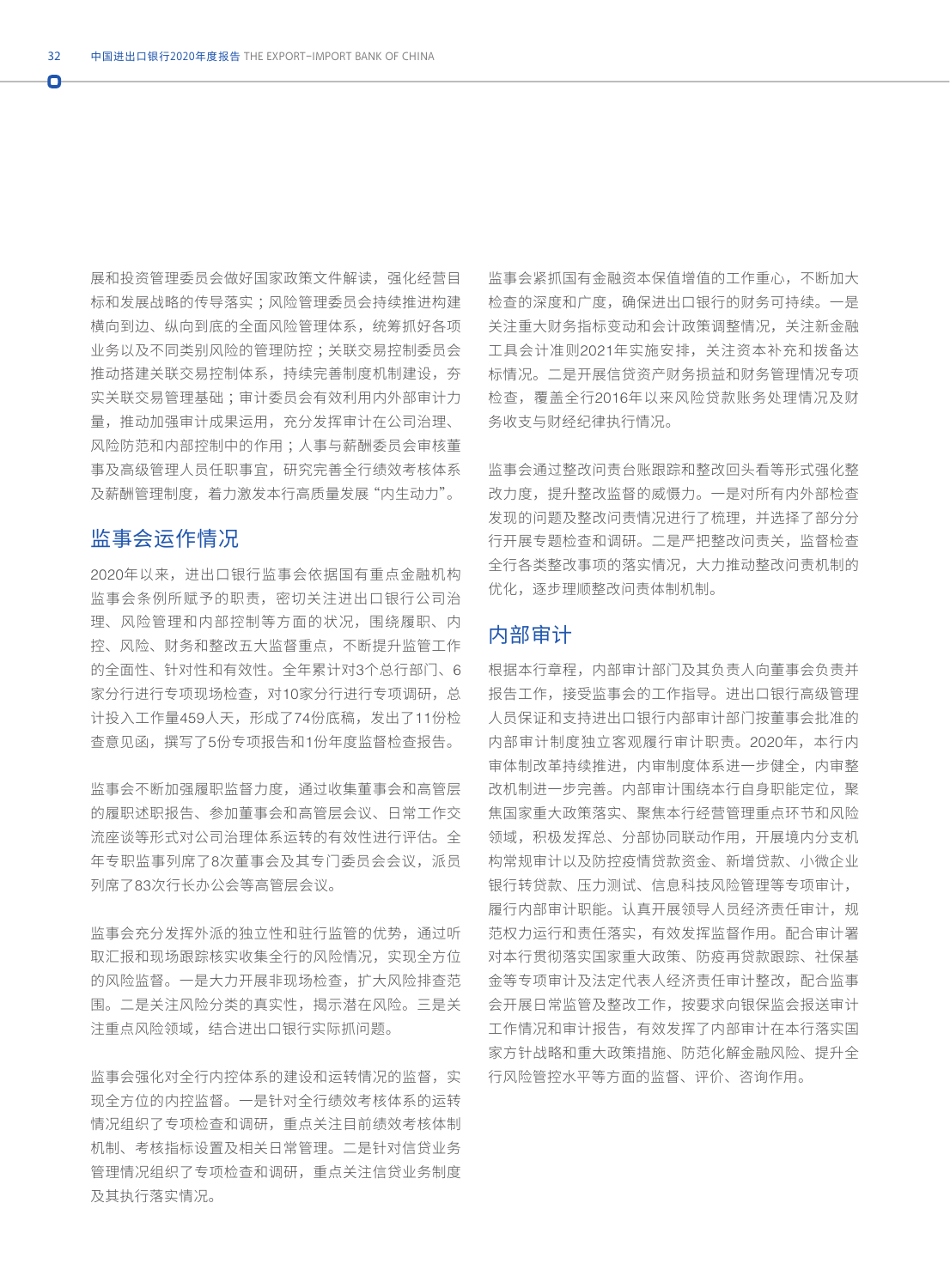Ō

展和投资管理委员会做好国家政策文件解读,强化经营目 标和发展战略的传导落实 ;风险管理委员会持续推进构建 横向到边、纵向到底的全面风险管理体系,统筹抓好各项 业务以及不同类别风险的管理防控 ;关联交易控制委员会 推动搭建关联交易控制体系,持续完善制度机制建设,夯 实关联交易管理基础 ;审计委员会有效利用内外部审计力 量,推动加强审计成果运用,充分发挥审计在公司治理、 风险防范和内部控制中的作用 ;人事与薪酬委员会审核董 事及高级管理人员任职事宜,研究完善全行绩效考核体系 及薪酬管理制度,着力激发本行高质量发展"内生动力"。

# 监事会运作情况

2020年以来,进出口银行监事会依据国有重点金融机构 监事会条例所赋予的职责,密切关注进出口银行公司治 理、风险管理和内部控制等方面的状况,围绕履职、内 控、风险、财务和整改五大监督重点,不断提升监管工作 的全面性、针对性和有效性。全年累计对3个总行部门、6 家分行进行专项现场检查,对10家分行进行专项调研,总 计投入工作量459人天,形成了74份底稿,发出了11份检 查意见函,撰写了5份专项报告和1份年度监督检查报告。

监事会不断加强履职监督力度,通过收集董事会和高管层 的履职述职报告、参加董事会和高管层会议、日常工作交 流座谈等形式对公司治理体系运转的有效性进行评估。全 年专职监事列席了8次董事会及其专门委员会会议,派员 列席了83次行长办公会等高管层会议。

监事会充分发挥外派的独立性和驻行监管的优势,通过听 取汇报和现场跟踪核实收集全行的风险情况,实现全方位 的风险监督。一是大力开展非现场检查,扩大风险排查范 围。二是关注风险分类的真实性,揭示潜在风险。三是关 注重点风险领域,结合进出口银行实际抓问题。

监事会强化对全行内控体系的建设和运转情况的监督,实 现全方位的内控监督。一是针对全行绩效考核体系的运转 情况组织了专项检查和调研,重点关注目前绩效考核体制 机制、考核指标设置及相关日常管理。二是针对信贷业务 管理情况组织了专项检查和调研,重点关注信贷业务制度 及其执行落实情况。

监事会紧抓国有金融资本保值增值的工作重心,不断加大 检查的深度和广度,确保进出口银行的财务可持续。一是 关注重大财务指标变动和会计政策调整情况,关注新金融 工具会计准则2021年实施安排,关注资本补充和拨备达 标情况。二是开展信贷资产财务损益和财务管理情况专项 检查,覆盖全行2016年以来风险贷款账务处理情况及财 务收支与财经纪律执行情况。

监事会通过整改问责台账跟踪和整改回头看等形式强化整 改力度,提升整改监督的威慑力。一是对所有内外部检查 发现的问题及整改问责情况进行了梳理,并选择了部分分 行开展专题检查和调研。二是严把整改问责关,监督检查 全行各类整改事项的落实情况,大力推动整改问责机制的 优化,逐步理顺整改问责体制机制。

# 内部审计

根据本行章程,内部审计部门及其负责人向董事会负责并 报告工作,接受监事会的工作指导。进出口银行高级管理 人员保证和支持进出口银行内部审计部门按董事会批准的 内部审计制度独立客观履行审计职责。2020年,本行内 审体制改革持续推进,内审制度体系进一步健全,内审整 改机制进一步完善。内部审计围绕本行自身职能定位,聚 焦国家重大政策落实、聚焦本行经营管理重点环节和风险 领域,积极发挥总、分部协同联动作用,开展境内分支机 构常规审计以及防控疫情贷款资金、新增贷款、小微企业 银行转贷款、压力测试、信息科技风险管理等专项审计, 履行内部审计职能。认真开展领导人员经济责任审计,规 范权力运行和责任落实,有效发挥监督作用。配合审计署 对本行贯彻落实国家重大政策、防疫再贷款跟踪、社保基 金等专项审计及法定代表人经济责任审计整改,配合监事 会开展日常监管及整改工作,按要求向银保监会报送审计 工作情况和审计报告,有效发挥了内部审计在本行落实国 家方针战略和重大政策措施、防范化解金融风险、提升全 行风险管控水平等方面的监督、评价、咨询作用。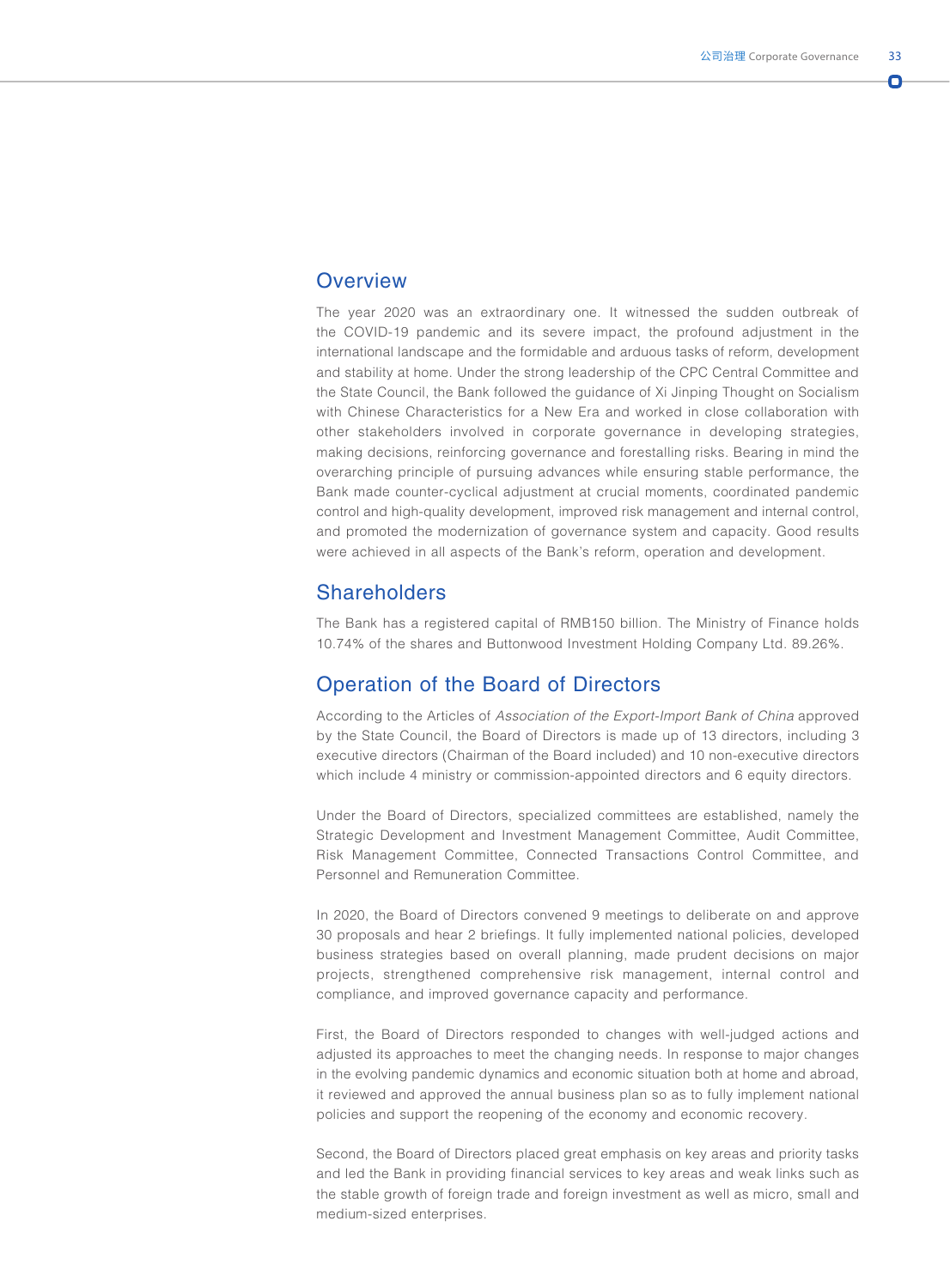#### **Overview**

The year 2020 was an extraordinary one. It witnessed the sudden outbreak of the COVID-19 pandemic and its severe impact, the profound adjustment in the international landscape and the formidable and arduous tasks of reform, development and stability at home. Under the strong leadership of the CPC Central Committee and the State Council, the Bank followed the guidance of Xi Jinping Thought on Socialism with Chinese Characteristics for a New Era and worked in close collaboration with other stakeholders involved in corporate governance in developing strategies, making decisions, reinforcing governance and forestalling risks. Bearing in mind the overarching principle of pursuing advances while ensuring stable performance, the Bank made counter-cyclical adjustment at crucial moments, coordinated pandemic control and high-quality development, improved risk management and internal control, and promoted the modernization of governance system and capacity. Good results were achieved in all aspects of the Bank's reform, operation and development.

## **Shareholders**

The Bank has a registered capital of RMB150 billion. The Ministry of Finance holds 10.74% of the shares and Buttonwood Investment Holding Company Ltd. 89.26%.

# Operation of the Board of Directors

According to the Articles of *Association of the Export-Import Bank of China* approved by the State Council, the Board of Directors is made up of 13 directors, including 3 executive directors (Chairman of the Board included) and 10 non-executive directors which include 4 ministry or commission-appointed directors and 6 equity directors.

Under the Board of Directors, specialized committees are established, namely the Strategic Development and Investment Management Committee, Audit Committee, Risk Management Committee, Connected Transactions Control Committee, and Personnel and Remuneration Committee.

In 2020, the Board of Directors convened 9 meetings to deliberate on and approve 30 proposals and hear 2 briefings. It fully implemented national policies, developed business strategies based on overall planning, made prudent decisions on major projects, strengthened comprehensive risk management, internal control and compliance, and improved governance capacity and performance.

First, the Board of Directors responded to changes with well-judged actions and adjusted its approaches to meet the changing needs. In response to major changes in the evolving pandemic dynamics and economic situation both at home and abroad, it reviewed and approved the annual business plan so as to fully implement national policies and support the reopening of the economy and economic recovery.

Second, the Board of Directors placed great emphasis on key areas and priority tasks and led the Bank in providing financial services to key areas and weak links such as the stable growth of foreign trade and foreign investment as well as micro, small and medium-sized enterprises.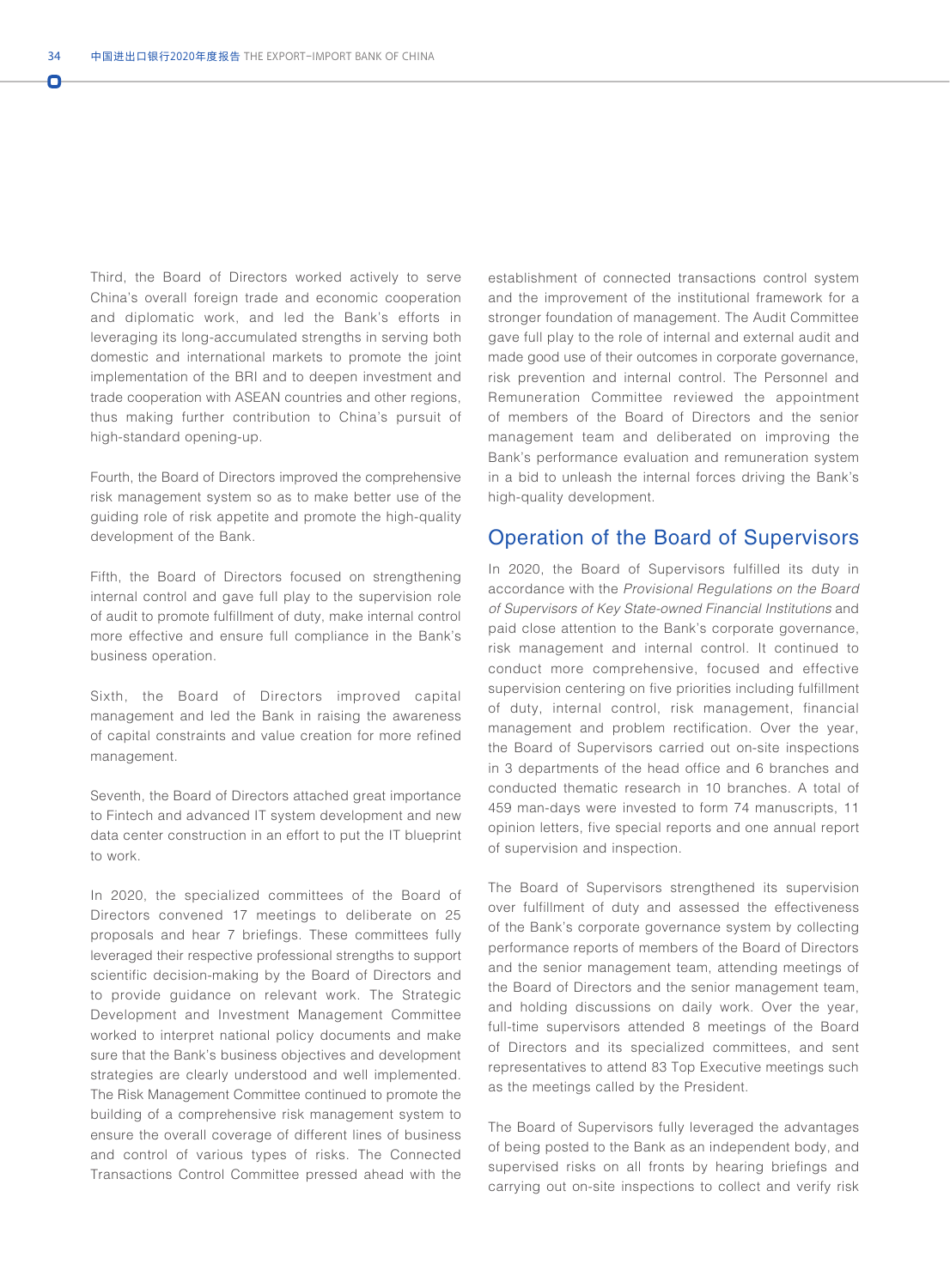Ō

Third, the Board of Directors worked actively to serve China's overall foreign trade and economic cooperation and diplomatic work, and led the Bank's efforts in leveraging its long-accumulated strengths in serving both domestic and international markets to promote the joint implementation of the BRI and to deepen investment and trade cooperation with ASEAN countries and other regions, thus making further contribution to China's pursuit of high-standard opening-up.

Fourth, the Board of Directors improved the comprehensive risk management system so as to make better use of the guiding role of risk appetite and promote the high-quality development of the Bank.

Fifth, the Board of Directors focused on strengthening internal control and gave full play to the supervision role of audit to promote fulfillment of duty, make internal control more effective and ensure full compliance in the Bank's business operation.

Sixth, the Board of Directors improved capital management and led the Bank in raising the awareness of capital constraints and value creation for more refined management.

Seventh, the Board of Directors attached great importance to Fintech and advanced IT system development and new data center construction in an effort to put the IT blueprint to work.

In 2020, the specialized committees of the Board of Directors convened 17 meetings to deliberate on 25 proposals and hear 7 briefings. These committees fully leveraged their respective professional strengths to support scientific decision-making by the Board of Directors and to provide guidance on relevant work. The Strategic Development and Investment Management Committee worked to interpret national policy documents and make sure that the Bank's business objectives and development strategies are clearly understood and well implemented. The Risk Management Committee continued to promote the building of a comprehensive risk management system to ensure the overall coverage of different lines of business and control of various types of risks. The Connected Transactions Control Committee pressed ahead with the establishment of connected transactions control system and the improvement of the institutional framework for a stronger foundation of management. The Audit Committee gave full play to the role of internal and external audit and made good use of their outcomes in corporate governance, risk prevention and internal control. The Personnel and Remuneration Committee reviewed the appointment of members of the Board of Directors and the senior management team and deliberated on improving the Bank's performance evaluation and remuneration system in a bid to unleash the internal forces driving the Bank's high-quality development.

## Operation of the Board of Supervisors

In 2020, the Board of Supervisors fulfilled its duty in accordance with the *Provisional Regulations on the Board of Supervisors of Key State-owned Financial Institutions* and paid close attention to the Bank's corporate governance, risk management and internal control. It continued to conduct more comprehensive, focused and effective supervision centering on five priorities including fulfillment of duty, internal control, risk management, financial management and problem rectification. Over the year, the Board of Supervisors carried out on-site inspections in 3 departments of the head office and 6 branches and conducted thematic research in 10 branches. A total of 459 man-days were invested to form 74 manuscripts, 11 opinion letters, five special reports and one annual report of supervision and inspection.

The Board of Supervisors strengthened its supervision over fulfillment of duty and assessed the effectiveness of the Bank's corporate governance system by collecting performance reports of members of the Board of Directors and the senior management team, attending meetings of the Board of Directors and the senior management team, and holding discussions on daily work. Over the year, full-time supervisors attended 8 meetings of the Board of Directors and its specialized committees, and sent representatives to attend 83 Top Executive meetings such as the meetings called by the President.

The Board of Supervisors fully leveraged the advantages of being posted to the Bank as an independent body, and supervised risks on all fronts by hearing briefings and carrying out on-site inspections to collect and verify risk